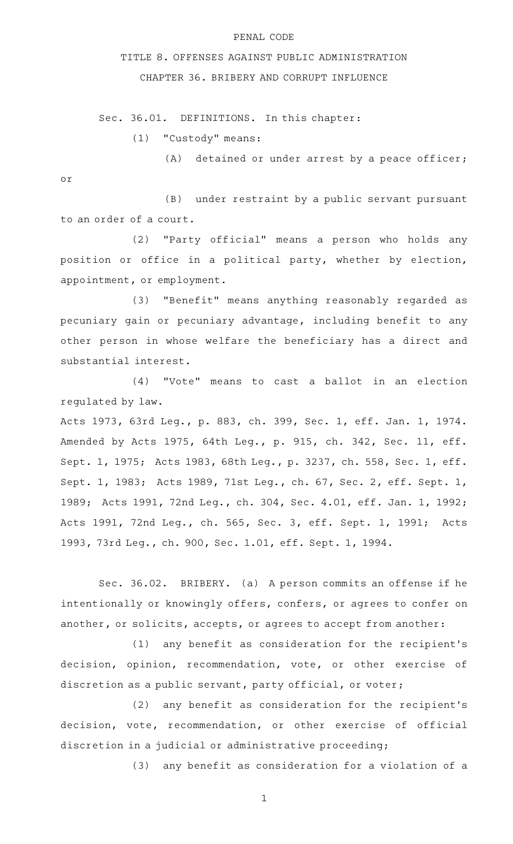## PENAL CODE

## TITLE 8. OFFENSES AGAINST PUBLIC ADMINISTRATION

CHAPTER 36. BRIBERY AND CORRUPT INFLUENCE

Sec. 36.01. DEFINITIONS. In this chapter:

 $(1)$  "Custody" means:

 $(A)$  detained or under arrest by a peace officer; or

(B) under restraint by a public servant pursuant to an order of a court.

(2) "Party official" means a person who holds any position or office in a political party, whether by election, appointment, or employment.

(3) "Benefit" means anything reasonably regarded as pecuniary gain or pecuniary advantage, including benefit to any other person in whose welfare the beneficiary has a direct and substantial interest.

(4) "Vote" means to cast a ballot in an election regulated by law.

Acts 1973, 63rd Leg., p. 883, ch. 399, Sec. 1, eff. Jan. 1, 1974. Amended by Acts 1975, 64th Leg., p. 915, ch. 342, Sec. 11, eff. Sept. 1, 1975; Acts 1983, 68th Leg., p. 3237, ch. 558, Sec. 1, eff. Sept. 1, 1983; Acts 1989, 71st Leg., ch. 67, Sec. 2, eff. Sept. 1, 1989; Acts 1991, 72nd Leg., ch. 304, Sec. 4.01, eff. Jan. 1, 1992; Acts 1991, 72nd Leg., ch. 565, Sec. 3, eff. Sept. 1, 1991; Acts 1993, 73rd Leg., ch. 900, Sec. 1.01, eff. Sept. 1, 1994.

Sec. 36.02. BRIBERY. (a) A person commits an offense if he intentionally or knowingly offers, confers, or agrees to confer on another, or solicits, accepts, or agrees to accept from another:

 $(1)$  any benefit as consideration for the recipient's decision, opinion, recommendation, vote, or other exercise of discretion as a public servant, party official, or voter;

(2) any benefit as consideration for the recipient's decision, vote, recommendation, or other exercise of official discretion in a judicial or administrative proceeding;

(3) any benefit as consideration for a violation of a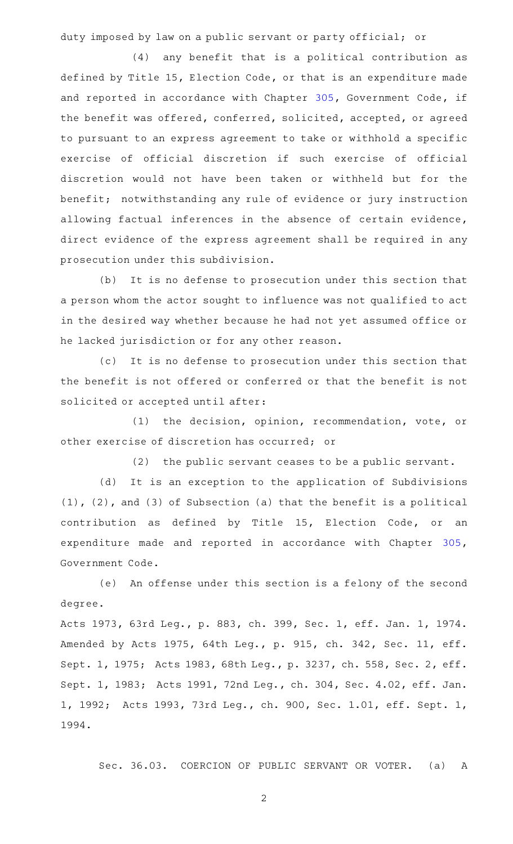duty imposed by law on a public servant or party official; or

 $(4)$  any benefit that is a political contribution as defined by Title 15, Election Code, or that is an expenditure made and reported in accordance with Chapter [305](http://www.statutes.legis.state.tx.us/GetStatute.aspx?Code=GV&Value=305), Government Code, if the benefit was offered, conferred, solicited, accepted, or agreed to pursuant to an express agreement to take or withhold a specific exercise of official discretion if such exercise of official discretion would not have been taken or withheld but for the benefit; notwithstanding any rule of evidence or jury instruction allowing factual inferences in the absence of certain evidence, direct evidence of the express agreement shall be required in any prosecution under this subdivision.

(b) It is no defense to prosecution under this section that a person whom the actor sought to influence was not qualified to act in the desired way whether because he had not yet assumed office or he lacked jurisdiction or for any other reason.

(c) It is no defense to prosecution under this section that the benefit is not offered or conferred or that the benefit is not solicited or accepted until after:

(1) the decision, opinion, recommendation, vote, or other exercise of discretion has occurred; or

(2) the public servant ceases to be a public servant.

(d) It is an exception to the application of Subdivisions (1), (2), and (3) of Subsection (a) that the benefit is a political contribution as defined by Title 15, Election Code, or an expenditure made and reported in accordance with Chapter [305](http://www.statutes.legis.state.tx.us/GetStatute.aspx?Code=GV&Value=305), Government Code.

(e) An offense under this section is a felony of the second degree.

Acts 1973, 63rd Leg., p. 883, ch. 399, Sec. 1, eff. Jan. 1, 1974. Amended by Acts 1975, 64th Leg., p. 915, ch. 342, Sec. 11, eff. Sept. 1, 1975; Acts 1983, 68th Leg., p. 3237, ch. 558, Sec. 2, eff. Sept. 1, 1983; Acts 1991, 72nd Leg., ch. 304, Sec. 4.02, eff. Jan. 1, 1992; Acts 1993, 73rd Leg., ch. 900, Sec. 1.01, eff. Sept. 1, 1994.

Sec. 36.03. COERCION OF PUBLIC SERVANT OR VOTER. (a) A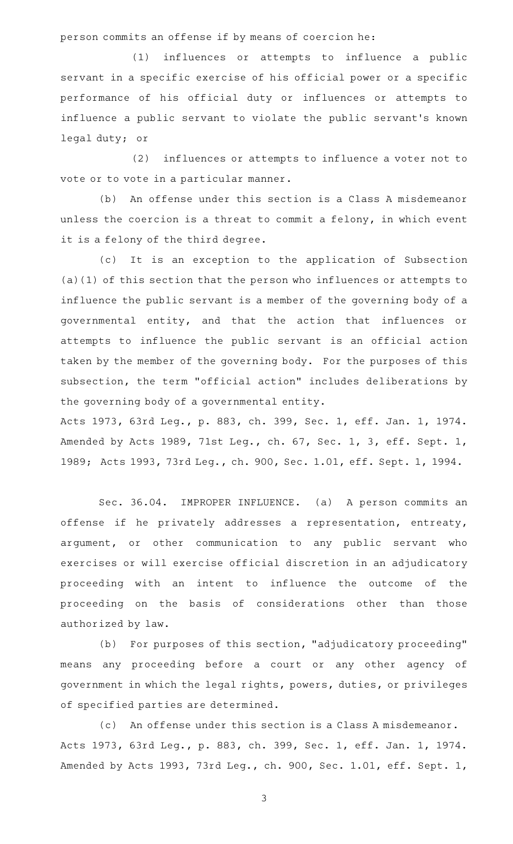person commits an offense if by means of coercion he:

 $(1)$  influences or attempts to influence a public servant in a specific exercise of his official power or a specific performance of his official duty or influences or attempts to influence a public servant to violate the public servant 's known legal duty; or

(2) influences or attempts to influence a voter not to vote or to vote in a particular manner.

(b) An offense under this section is a Class A misdemeanor unless the coercion is a threat to commit a felony, in which event it is a felony of the third degree.

(c) It is an exception to the application of Subsection (a)(1) of this section that the person who influences or attempts to influence the public servant is a member of the governing body of a governmental entity, and that the action that influences or attempts to influence the public servant is an official action taken by the member of the governing body. For the purposes of this subsection, the term "official action" includes deliberations by the governing body of a governmental entity.

Acts 1973, 63rd Leg., p. 883, ch. 399, Sec. 1, eff. Jan. 1, 1974. Amended by Acts 1989, 71st Leg., ch. 67, Sec. 1, 3, eff. Sept. 1, 1989; Acts 1993, 73rd Leg., ch. 900, Sec. 1.01, eff. Sept. 1, 1994.

Sec. 36.04. IMPROPER INFLUENCE. (a) A person commits an offense if he privately addresses a representation, entreaty, argument, or other communication to any public servant who exercises or will exercise official discretion in an adjudicatory proceeding with an intent to influence the outcome of the proceeding on the basis of considerations other than those authorized by law.

(b) For purposes of this section, "adjudicatory proceeding" means any proceeding before a court or any other agency of government in which the legal rights, powers, duties, or privileges of specified parties are determined.

(c) An offense under this section is a Class A misdemeanor. Acts 1973, 63rd Leg., p. 883, ch. 399, Sec. 1, eff. Jan. 1, 1974. Amended by Acts 1993, 73rd Leg., ch. 900, Sec. 1.01, eff. Sept. 1,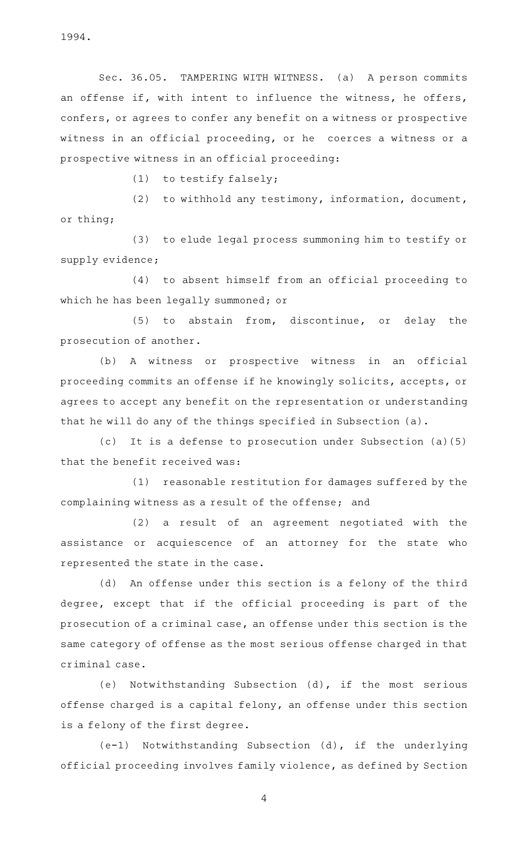1994.

Sec. 36.05. TAMPERING WITH WITNESS. (a) A person commits an offense if, with intent to influence the witness, he offers, confers, or agrees to confer any benefit on a witness or prospective witness in an official proceeding, or he coerces a witness or a prospective witness in an official proceeding:

 $(1)$  to testify falsely;

(2) to withhold any testimony, information, document, or thing;

(3) to elude legal process summoning him to testify or supply evidence;

(4) to absent himself from an official proceeding to which he has been legally summoned; or

 $(5)$  to abstain from, discontinue, or delay the prosecution of another.

(b) A witness or prospective witness in an official proceeding commits an offense if he knowingly solicits, accepts, or agrees to accept any benefit on the representation or understanding that he will do any of the things specified in Subsection (a).

(c) It is a defense to prosecution under Subsection (a)(5) that the benefit received was:

(1) reasonable restitution for damages suffered by the complaining witness as a result of the offense; and

(2) a result of an agreement negotiated with the assistance or acquiescence of an attorney for the state who represented the state in the case.

(d) An offense under this section is a felony of the third degree, except that if the official proceeding is part of the prosecution of a criminal case, an offense under this section is the same category of offense as the most serious offense charged in that criminal case.

(e) Notwithstanding Subsection (d), if the most serious offense charged is a capital felony, an offense under this section is a felony of the first degree.

(e-1) Notwithstanding Subsection (d), if the underlying official proceeding involves family violence, as defined by Section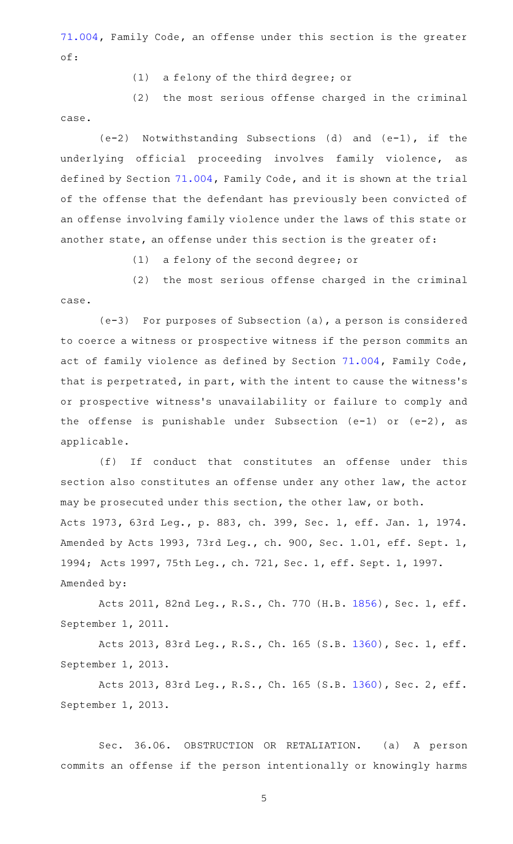[71.004](http://www.statutes.legis.state.tx.us/GetStatute.aspx?Code=FA&Value=71.004), Family Code, an offense under this section is the greater of:

(1) a felony of the third degree; or

 $(2)$  the most serious offense charged in the criminal case.

 $(e-2)$  Notwithstanding Subsections (d) and  $(e-1)$ , if the underlying official proceeding involves family violence, as defined by Section [71.004,](http://www.statutes.legis.state.tx.us/GetStatute.aspx?Code=FA&Value=71.004) Family Code, and it is shown at the trial of the offense that the defendant has previously been convicted of an offense involving family violence under the laws of this state or another state, an offense under this section is the greater of:

(1) a felony of the second degree; or

(2) the most serious offense charged in the criminal case.

 $(e-3)$  For purposes of Subsection  $(a)$ , a person is considered to coerce a witness or prospective witness if the person commits an act of family violence as defined by Section [71.004](http://www.statutes.legis.state.tx.us/GetStatute.aspx?Code=FA&Value=71.004), Family Code, that is perpetrated, in part, with the intent to cause the witness 's or prospective witness's unavailability or failure to comply and the offense is punishable under Subsection (e-1) or (e-2), as applicable.

(f) If conduct that constitutes an offense under this section also constitutes an offense under any other law, the actor may be prosecuted under this section, the other law, or both. Acts 1973, 63rd Leg., p. 883, ch. 399, Sec. 1, eff. Jan. 1, 1974. Amended by Acts 1993, 73rd Leg., ch. 900, Sec. 1.01, eff. Sept. 1, 1994; Acts 1997, 75th Leg., ch. 721, Sec. 1, eff. Sept. 1, 1997. Amended by:

Acts 2011, 82nd Leg., R.S., Ch. 770 (H.B. [1856](http://www.legis.state.tx.us/tlodocs/82R/billtext/html/HB01856F.HTM)), Sec. 1, eff. September 1, 2011.

Acts 2013, 83rd Leg., R.S., Ch. 165 (S.B. [1360](http://www.legis.state.tx.us/tlodocs/83R/billtext/html/SB01360F.HTM)), Sec. 1, eff. September 1, 2013.

Acts 2013, 83rd Leg., R.S., Ch. 165 (S.B. [1360](http://www.legis.state.tx.us/tlodocs/83R/billtext/html/SB01360F.HTM)), Sec. 2, eff. September 1, 2013.

Sec. 36.06. OBSTRUCTION OR RETALIATION. (a) A person commits an offense if the person intentionally or knowingly harms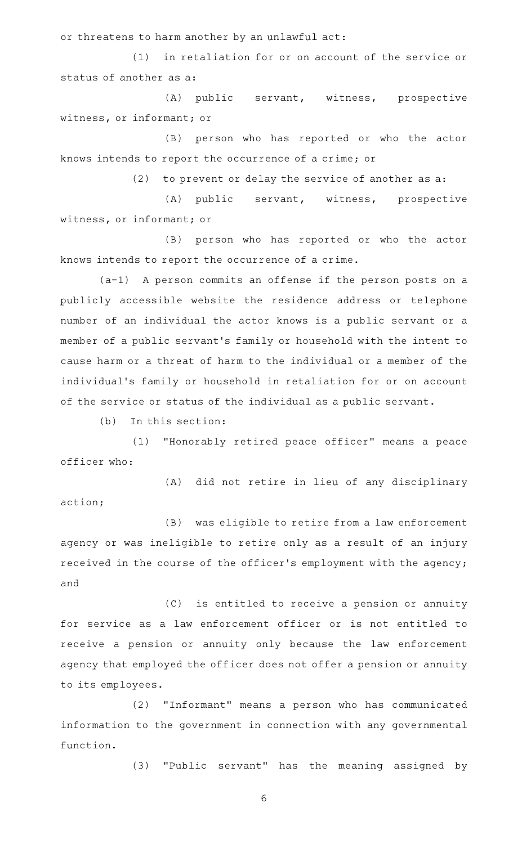or threatens to harm another by an unlawful act:

 $(1)$  in retaliation for or on account of the service or status of another as a:

(A) public servant, witness, prospective witness, or informant; or

(B) person who has reported or who the actor knows intends to report the occurrence of a crime; or

 $(2)$  to prevent or delay the service of another as a:

(A) public servant, witness, prospective witness, or informant; or

(B) person who has reported or who the actor knows intends to report the occurrence of a crime.

 $(a-1)$  A person commits an offense if the person posts on a publicly accessible website the residence address or telephone number of an individual the actor knows is a public servant or a member of a public servant 's family or household with the intent to cause harm or a threat of harm to the individual or a member of the individual 's family or household in retaliation for or on account of the service or status of the individual as a public servant.

 $(b)$  In this section:

(1) "Honorably retired peace officer" means a peace officer who:

(A) did not retire in lieu of any disciplinary action;

(B) was eligible to retire from a law enforcement agency or was ineligible to retire only as a result of an injury received in the course of the officer 's employment with the agency; and

(C) is entitled to receive a pension or annuity for service as a law enforcement officer or is not entitled to receive a pension or annuity only because the law enforcement agency that employed the officer does not offer a pension or annuity to its employees.

(2) "Informant" means a person who has communicated information to the government in connection with any governmental function.

(3) "Public servant" has the meaning assigned by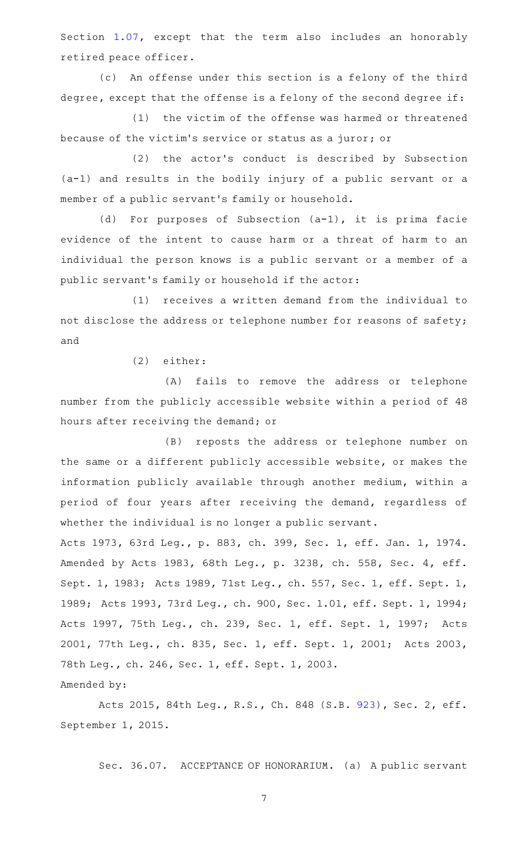Section [1.07](http://www.statutes.legis.state.tx.us/GetStatute.aspx?Code=PE&Value=1.07), except that the term also includes an honorably retired peace officer.

(c) An offense under this section is a felony of the third degree, except that the offense is a felony of the second degree if:

 $(1)$  the victim of the offense was harmed or threatened because of the victim 's service or status as a juror; or

(2) the actor's conduct is described by Subsection (a-1) and results in the bodily injury of a public servant or a member of a public servant 's family or household.

(d) For purposes of Subsection  $(a-1)$ , it is prima facie evidence of the intent to cause harm or a threat of harm to an individual the person knows is a public servant or a member of a public servant 's family or household if the actor:

(1) receives a written demand from the individual to not disclose the address or telephone number for reasons of safety; and

(2) either:

Amended by:

(A) fails to remove the address or telephone number from the publicly accessible website within a period of 48 hours after receiving the demand; or

(B) reposts the address or telephone number on the same or a different publicly accessible website, or makes the information publicly available through another medium, within a period of four years after receiving the demand, regardless of whether the individual is no longer a public servant.

Acts 1973, 63rd Leg., p. 883, ch. 399, Sec. 1, eff. Jan. 1, 1974. Amended by Acts 1983, 68th Leg., p. 3238, ch. 558, Sec. 4, eff. Sept. 1, 1983; Acts 1989, 71st Leg., ch. 557, Sec. 1, eff. Sept. 1, 1989; Acts 1993, 73rd Leg., ch. 900, Sec. 1.01, eff. Sept. 1, 1994; Acts 1997, 75th Leg., ch. 239, Sec. 1, eff. Sept. 1, 1997; Acts 2001, 77th Leg., ch. 835, Sec. 1, eff. Sept. 1, 2001; Acts 2003, 78th Leg., ch. 246, Sec. 1, eff. Sept. 1, 2003.

Acts 2015, 84th Leg., R.S., Ch. 848 (S.B. [923](http://www.legis.state.tx.us/tlodocs/84R/billtext/html/SB00923F.HTM)), Sec. 2, eff. September 1, 2015.

Sec. 36.07. ACCEPTANCE OF HONORARIUM. (a) A public servant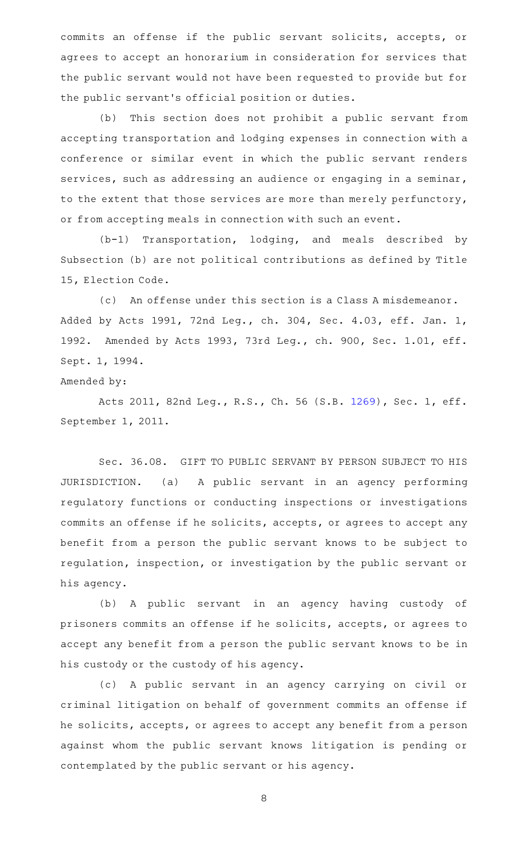commits an offense if the public servant solicits, accepts, or agrees to accept an honorarium in consideration for services that the public servant would not have been requested to provide but for the public servant 's official position or duties.

(b) This section does not prohibit a public servant from accepting transportation and lodging expenses in connection with a conference or similar event in which the public servant renders services, such as addressing an audience or engaging in a seminar, to the extent that those services are more than merely perfunctory, or from accepting meals in connection with such an event.

 $(b-1)$  Transportation, lodging, and meals described by Subsection (b) are not political contributions as defined by Title 15, Election Code.

(c) An offense under this section is a Class A misdemeanor. Added by Acts 1991, 72nd Leg., ch. 304, Sec. 4.03, eff. Jan. 1, 1992. Amended by Acts 1993, 73rd Leg., ch. 900, Sec. 1.01, eff. Sept. 1, 1994.

## Amended by:

Acts 2011, 82nd Leg., R.S., Ch. 56 (S.B. [1269](http://www.legis.state.tx.us/tlodocs/82R/billtext/html/SB01269F.HTM)), Sec. 1, eff. September 1, 2011.

Sec. 36.08. GIFT TO PUBLIC SERVANT BY PERSON SUBJECT TO HIS JURISDICTION. (a) A public servant in an agency performing regulatory functions or conducting inspections or investigations commits an offense if he solicits, accepts, or agrees to accept any benefit from a person the public servant knows to be subject to regulation, inspection, or investigation by the public servant or his agency.

(b) A public servant in an agency having custody of prisoners commits an offense if he solicits, accepts, or agrees to accept any benefit from a person the public servant knows to be in his custody or the custody of his agency.

(c)AAA public servant in an agency carrying on civil or criminal litigation on behalf of government commits an offense if he solicits, accepts, or agrees to accept any benefit from a person against whom the public servant knows litigation is pending or contemplated by the public servant or his agency.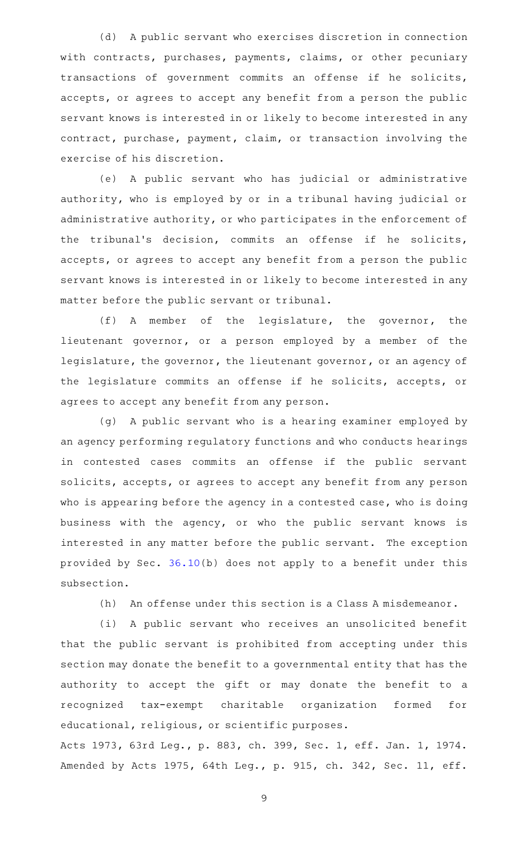(d) A public servant who exercises discretion in connection with contracts, purchases, payments, claims, or other pecuniary transactions of government commits an offense if he solicits, accepts, or agrees to accept any benefit from a person the public servant knows is interested in or likely to become interested in any contract, purchase, payment, claim, or transaction involving the exercise of his discretion.

(e) A public servant who has judicial or administrative authority, who is employed by or in a tribunal having judicial or administrative authority, or who participates in the enforcement of the tribunal 's decision, commits an offense if he solicits, accepts, or agrees to accept any benefit from a person the public servant knows is interested in or likely to become interested in any matter before the public servant or tribunal.

(f)AAA member of the legislature, the governor, the lieutenant governor, or a person employed by a member of the legislature, the governor, the lieutenant governor, or an agency of the legislature commits an offense if he solicits, accepts, or agrees to accept any benefit from any person.

(g) A public servant who is a hearing examiner employed by an agency performing regulatory functions and who conducts hearings in contested cases commits an offense if the public servant solicits, accepts, or agrees to accept any benefit from any person who is appearing before the agency in a contested case, who is doing business with the agency, or who the public servant knows is interested in any matter before the public servant. The exception provided by Sec. [36.10\(](http://www.statutes.legis.state.tx.us/GetStatute.aspx?Code=PE&Value=36.10)b) does not apply to a benefit under this subsection.

(h) An offense under this section is a Class A misdemeanor.

(i) A public servant who receives an unsolicited benefit that the public servant is prohibited from accepting under this section may donate the benefit to a governmental entity that has the authority to accept the gift or may donate the benefit to a recognized tax-exempt charitable organization formed for educational, religious, or scientific purposes.

Acts 1973, 63rd Leg., p. 883, ch. 399, Sec. 1, eff. Jan. 1, 1974. Amended by Acts 1975, 64th Leg., p. 915, ch. 342, Sec. 11, eff.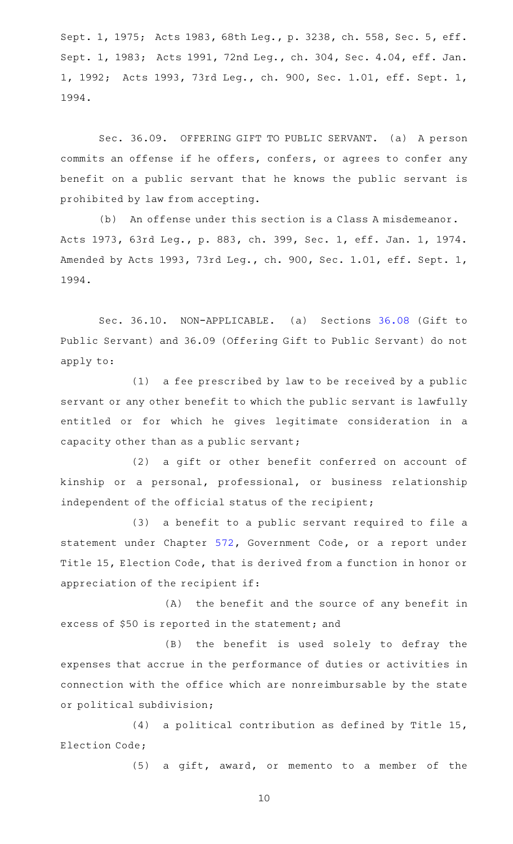Sept. 1, 1975; Acts 1983, 68th Leg., p. 3238, ch. 558, Sec. 5, eff. Sept. 1, 1983; Acts 1991, 72nd Leg., ch. 304, Sec. 4.04, eff. Jan. 1, 1992; Acts 1993, 73rd Leg., ch. 900, Sec. 1.01, eff. Sept. 1, 1994.

Sec. 36.09. OFFERING GIFT TO PUBLIC SERVANT. (a) A person commits an offense if he offers, confers, or agrees to confer any benefit on a public servant that he knows the public servant is prohibited by law from accepting.

(b) An offense under this section is a Class A misdemeanor. Acts 1973, 63rd Leg., p. 883, ch. 399, Sec. 1, eff. Jan. 1, 1974. Amended by Acts 1993, 73rd Leg., ch. 900, Sec. 1.01, eff. Sept. 1, 1994.

Sec. 36.10. NON-APPLICABLE. (a) Sections [36.08](http://www.statutes.legis.state.tx.us/GetStatute.aspx?Code=PE&Value=36.08) (Gift to Public Servant) and 36.09 (Offering Gift to Public Servant) do not apply to:

 $(1)$  a fee prescribed by law to be received by a public servant or any other benefit to which the public servant is lawfully entitled or for which he gives legitimate consideration in a capacity other than as a public servant;

(2) a gift or other benefit conferred on account of kinship or a personal, professional, or business relationship independent of the official status of the recipient;

(3) a benefit to a public servant required to file a statement under Chapter [572](http://www.statutes.legis.state.tx.us/GetStatute.aspx?Code=GV&Value=572), Government Code, or a report under Title 15, Election Code, that is derived from a function in honor or appreciation of the recipient if:

 $(A)$  the benefit and the source of any benefit in excess of \$50 is reported in the statement; and

(B) the benefit is used solely to defray the expenses that accrue in the performance of duties or activities in connection with the office which are nonreimbursable by the state or political subdivision;

(4) a political contribution as defined by Title 15, Election Code;

(5) a gift, award, or memento to a member of the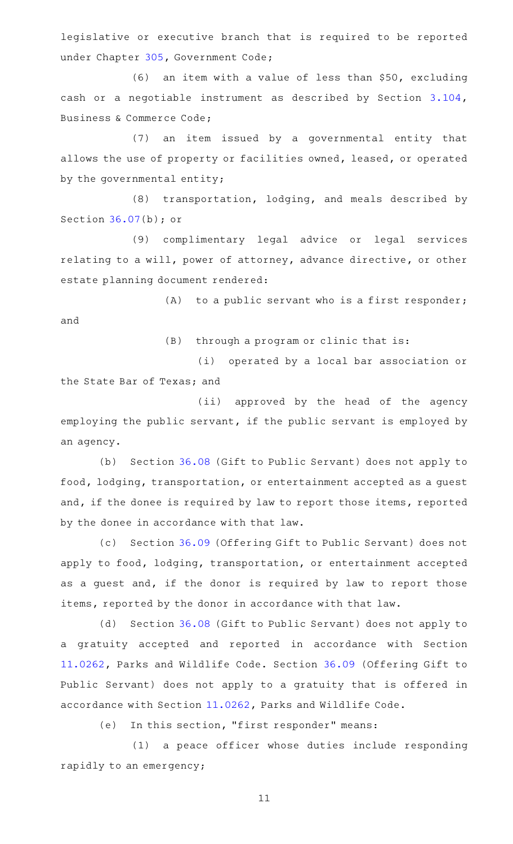legislative or executive branch that is required to be reported under Chapter [305](http://www.statutes.legis.state.tx.us/GetStatute.aspx?Code=GV&Value=305), Government Code;

 $(6)$  an item with a value of less than \$50, excluding cash or a negotiable instrument as described by Section [3.104](http://www.statutes.legis.state.tx.us/GetStatute.aspx?Code=BC&Value=3.104), Business & Commerce Code;

(7) an item issued by a governmental entity that allows the use of property or facilities owned, leased, or operated by the governmental entity;

(8) transportation, lodging, and meals described by Section [36.07\(](http://www.statutes.legis.state.tx.us/GetStatute.aspx?Code=PE&Value=36.07)b); or

(9) complimentary legal advice or legal services relating to a will, power of attorney, advance directive, or other estate planning document rendered:

 $(A)$  to a public servant who is a first responder; and

 $(B)$  through a program or clinic that is:

(i) operated by a local bar association or the State Bar of Texas; and

(ii) approved by the head of the agency employing the public servant, if the public servant is employed by an agency.

(b) Section [36.08](http://www.statutes.legis.state.tx.us/GetStatute.aspx?Code=PE&Value=36.08) (Gift to Public Servant) does not apply to food, lodging, transportation, or entertainment accepted as a guest and, if the donee is required by law to report those items, reported by the donee in accordance with that law.

(c) Section [36.09](http://www.statutes.legis.state.tx.us/GetStatute.aspx?Code=PE&Value=36.09) (Offering Gift to Public Servant) does not apply to food, lodging, transportation, or entertainment accepted as a guest and, if the donor is required by law to report those items, reported by the donor in accordance with that law.

(d) Section [36.08](http://www.statutes.legis.state.tx.us/GetStatute.aspx?Code=PE&Value=36.08) (Gift to Public Servant) does not apply to a gratuity accepted and reported in accordance with Section [11.0262,](http://www.statutes.legis.state.tx.us/GetStatute.aspx?Code=PW&Value=11.0262) Parks and Wildlife Code. Section [36.09](http://www.statutes.legis.state.tx.us/GetStatute.aspx?Code=PE&Value=36.09) (Offering Gift to Public Servant) does not apply to a gratuity that is offered in accordance with Section [11.0262](http://www.statutes.legis.state.tx.us/GetStatute.aspx?Code=PW&Value=11.0262), Parks and Wildlife Code.

(e) In this section, "first responder" means:

(1) a peace officer whose duties include responding rapidly to an emergency;